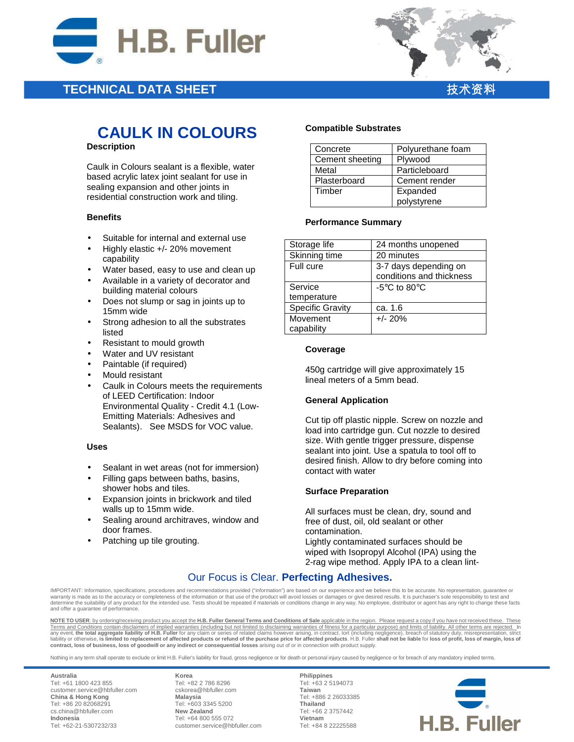

## **TECHNICAL DATA SHEET**



# **CAULK IN COLOURS**

## **Description**

Caulk in Colours sealant is a flexible, water based acrylic latex joint sealant for use in sealing expansion and other joints in residential construction work and tiling.

## **Benefits**

- Suitable for internal and external use
- Highly elastic +/- 20% movement capability
- Water based, easy to use and clean up
- Available in a variety of decorator and building material colours
- Does not slump or sag in joints up to 15mm wide
- Strong adhesion to all the substrates listed
- Resistant to mould growth
- Water and UV resistant
- Paintable (if required)
- Mould resistant
- Caulk in Colours meets the requirements of LEED Certification: Indoor Environmental Quality - Credit 4.1 (Low-Emitting Materials: Adhesives and Sealants). See MSDS for VOC value.

## **Uses**

- Sealant in wet areas (not for immersion)
- Filling gaps between baths, basins, shower hobs and tiles.
- Expansion joints in brickwork and tiled walls up to 15mm wide.
- Sealing around architraves, window and door frames.
- Patching up tile grouting.

## **Compatible Substrates**

| Concrete        | Polyurethane foam |
|-----------------|-------------------|
| Cement sheeting | Plywood           |
| Metal           | Particleboard     |
| Plasterboard    | Cement render     |
| Timber          | Expanded          |
|                 | polystyrene       |

## **Performance Summary**

| Storage life            | 24 months unopened               |
|-------------------------|----------------------------------|
| Skinning time           | 20 minutes                       |
| Full cure               | 3-7 days depending on            |
|                         | conditions and thickness         |
| Service                 | -5 $\degree$ C to 80 $\degree$ C |
| temperature             |                                  |
| <b>Specific Gravity</b> | ca. 1.6                          |
| Movement                | $+/- 20%$                        |
| capability              |                                  |

## **Coverage**

450g cartridge will give approximately 15 lineal meters of a 5mm bead.

## **General Application**

Cut tip off plastic nipple. Screw on nozzle and load into cartridge gun. Cut nozzle to desired size. With gentle trigger pressure, dispense sealant into joint. Use a spatula to tool off to desired finish. Allow to dry before coming into contact with water

## **Surface Preparation**

All surfaces must be clean, dry, sound and free of dust, oil, old sealant or other contamination.

Lightly contaminated surfaces should be wiped with Isopropyl Alcohol (IPA) using the 2-rag wipe method. Apply IPA to a clean lint-

## Our Focus is Clear. **Perfecting Adhesives.**

IMPORTANT: Information, specifications, procedures and recommendations provided ("information") are based on our experience and we believe this to be accurate. No representation, guarantee or warranty is made as to the accuracy or completeness of the information or that use of the product will avoid losses or damages or give desired results. It is purchaser's sole responsibility to test and determine the suitability of any product for the intended use. Tests should be repeated if materials or conditions change in any way. No employee, distributor or agent has any right to change these facts and offer a guarantee of performance.

**NOTE TO USER**: by ordering/receiving product you accept the **H.B. Fuller General Terms and Conditions of Sale** applicable in the region. Please request a copy if you have not received these. These Terms and Conditions contain disclaimers of implied warranties (including but not limited to disclaiming warranties of fitness for a particular purpose) and limits of liability. All other terms are rejected. In<br>any event, **contract, loss of business, loss of goodwill or any indirect or consequential losses** arising out of or in connection with product supply.

Nothing in any term shall operate to exclude or limit H.B. Fuller's liability for fraud, gross negligence or for death or personal injury caused by negligence or for breach of any mandatory implied terms.

**Australia** Tel: +61 1800 423 855 customer.service@hbfuller.com **China & Hong Kong**  Tel: +86 20 82068291 cs.china@hbfuller.com **Indonesia**  Tel: +62-21-5307232/33

**Korea** Tel: +82 2 786 8296 cskorea@hbfuller.com **Malaysia**  Tel: +603 3345 5200 **New Zealand** Tel: +64 800 555 072 customer.service@hbfuller.com

**Philippines** Tel: +63 2 5194073 **Taiwan**  Tel: +886 2 26033385 **Thailand**  Tel: +66 2 3757442 **Vietnam**  Tel: +84 8 22225588

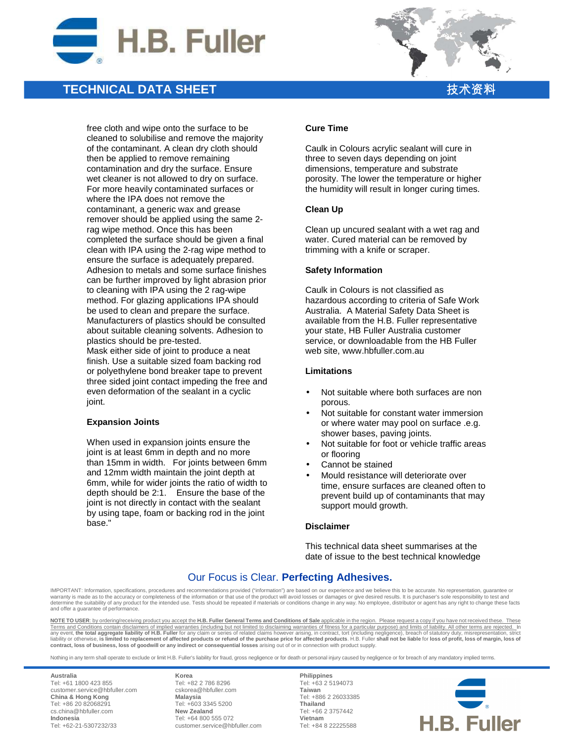

## **TECHNICAL DATA SHEET**



free cloth and wipe onto the surface to be cleaned to solubilise and remove the majority of the contaminant. A clean dry cloth should then be applied to remove remaining contamination and dry the surface. Ensure wet cleaner is not allowed to dry on surface. For more heavily contaminated surfaces or where the IPA does not remove the contaminant, a generic wax and grease remover should be applied using the same 2 rag wipe method. Once this has been completed the surface should be given a final clean with IPA using the 2-rag wipe method to ensure the surface is adequately prepared. Adhesion to metals and some surface finishes can be further improved by light abrasion prior to cleaning with IPA using the 2 rag-wipe method. For glazing applications IPA should be used to clean and prepare the surface. Manufacturers of plastics should be consulted about suitable cleaning solvents. Adhesion to plastics should be pre-tested. Mask either side of joint to produce a neat finish. Use a suitable sized foam backing rod or polyethylene bond breaker tape to prevent three sided joint contact impeding the free and even deformation of the sealant in a cyclic joint.

## **Expansion Joints**

When used in expansion joints ensure the joint is at least 6mm in depth and no more than 15mm in width. For joints between 6mm and 12mm width maintain the joint depth at 6mm, while for wider joints the ratio of width to depth should be 2:1. Ensure the base of the joint is not directly in contact with the sealant by using tape, foam or backing rod in the joint base."

#### **Cure Time**

Caulk in Colours acrylic sealant will cure in three to seven days depending on joint dimensions, temperature and substrate porosity. The lower the temperature or higher the humidity will result in longer curing times.

#### **Clean Up**

Clean up uncured sealant with a wet rag and water. Cured material can be removed by trimming with a knife or scraper.

#### **Safety Information**

Caulk in Colours is not classified as hazardous according to criteria of Safe Work Australia. A Material Safety Data Sheet is available from the H.B. Fuller representative your state, HB Fuller Australia customer service, or downloadable from the HB Fuller web site, www.hbfuller.com.au

#### **Limitations**

- Not suitable where both surfaces are non porous.
- Not suitable for constant water immersion or where water may pool on surface .e.g. shower bases, paving joints.
- Not suitable for foot or vehicle traffic areas or flooring
- Cannot be stained
- Mould resistance will deteriorate over time, ensure surfaces are cleaned often to prevent build up of contaminants that may support mould growth.

## **Disclaimer**

This technical data sheet summarises at the date of issue to the best technical knowledge

## Our Focus is Clear. **Perfecting Adhesives.**

IMPORTANT: Information, specifications, procedures and recommendations provided ("information") are based on our experience and we believe this to be accurate. No representation, guarantee or warranty is made as to the accuracy or completeness of the information or that use of the product will avoid losses or damages or give desired results. It is purchaser's sole responsibility to test and warranty is made as determine the suitability of any product for the intended use. Tests should be repeated if materials or conditions change in any way. No employee, distributor or agent has any right to change these facts and offer a guarantee of performance.

**NOTE TO USER**: by ordering/receiving product you accept the **H.B. Fuller General Terms and Conditions of Sale** applicable in the region. Please request a copy if you have not received these. These Terms and Conditions contain disclaimers of implied warranties (including but not limited to disclaiming warranties of fitness for a particular purpose) and limits of liability. All other terms are rejected. In<br>any event, **contract, loss of business, loss of goodwill or any indirect or consequential losses** arising out of or in connection with product supply.

Nothing in any term shall operate to exclude or limit H.B. Fuller's liability for fraud, gross negligence or for death or personal injury caused by negligence or for breach of any mandatory implied terms.

**Australia** Tel: +61 1800 423 855 customer.service@hbfuller.com **China & Hong Kong**  Tel: +86 20 82068291 cs.china@hbfuller.com **Indonesia**  Tel: +62-21-5307232/33

**Korea** Tel: +82 2 786 8296 cskorea@hbfuller.com **Malaysia**  Tel: +603 3345 5200 **New Zealand** Tel: +64 800 555 072 customer.service@hbfuller.com

**Philippines** Tel: +63 2 5194073 **Taiwan**  Tel: +886 2 26033385 **Thailand**  Tel: +66 2 3757442 **Vietnam**  Tel: +84 8 22225588